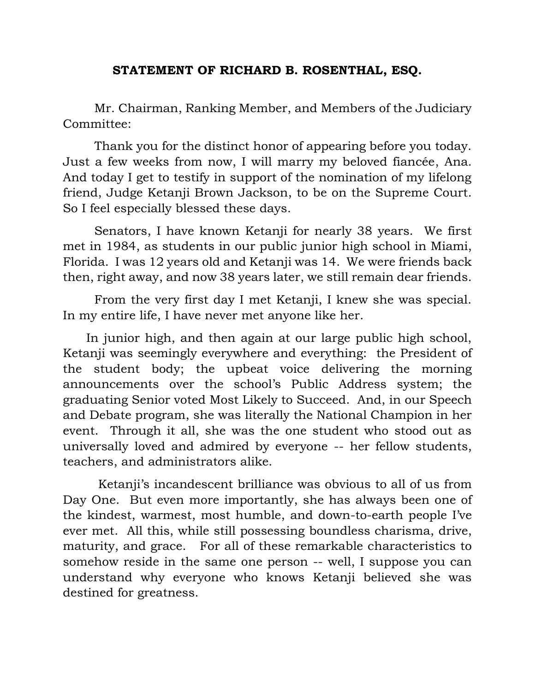## **STATEMENT OF RICHARD B. ROSENTHAL, ESQ.**

Mr. Chairman, Ranking Member, and Members of the Judiciary Committee:

Thank you for the distinct honor of appearing before you today. Just a few weeks from now, I will marry my beloved fiancée, Ana. And today I get to testify in support of the nomination of my lifelong friend, Judge Ketanji Brown Jackson, to be on the Supreme Court. So I feel especially blessed these days.

Senators, I have known Ketanji for nearly 38 years. We first met in 1984, as students in our public junior high school in Miami, Florida. I was 12 years old and Ketanji was 14. We were friends back then, right away, and now 38 years later, we still remain dear friends.

From the very first day I met Ketanji, I knew she was special. In my entire life, I have never met anyone like her.

 In junior high, and then again at our large public high school, Ketanji was seemingly everywhere and everything: the President of the student body; the upbeat voice delivering the morning announcements over the school's Public Address system; the graduating Senior voted Most Likely to Succeed. And, in our Speech and Debate program, she was literally the National Champion in her event. Through it all, she was the one student who stood out as universally loved and admired by everyone -- her fellow students, teachers, and administrators alike.

Ketanji's incandescent brilliance was obvious to all of us from Day One. But even more importantly, she has always been one of the kindest, warmest, most humble, and down-to-earth people I've ever met. All this, while still possessing boundless charisma, drive, maturity, and grace. For all of these remarkable characteristics to somehow reside in the same one person -- well, I suppose you can understand why everyone who knows Ketanji believed she was destined for greatness.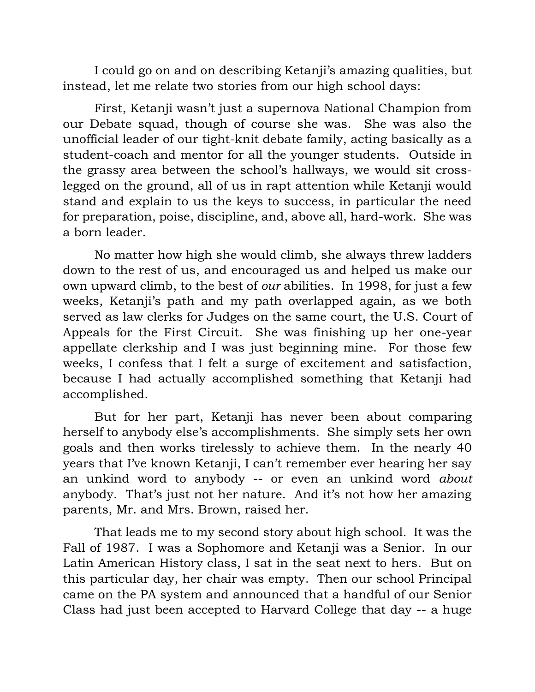I could go on and on describing Ketanji's amazing qualities, but instead, let me relate two stories from our high school days:

First, Ketanji wasn't just a supernova National Champion from our Debate squad, though of course she was. She was also the unofficial leader of our tight-knit debate family, acting basically as a student-coach and mentor for all the younger students. Outside in the grassy area between the school's hallways, we would sit crosslegged on the ground, all of us in rapt attention while Ketanji would stand and explain to us the keys to success, in particular the need for preparation, poise, discipline, and, above all, hard-work. She was a born leader.

No matter how high she would climb, she always threw ladders down to the rest of us, and encouraged us and helped us make our own upward climb, to the best of *our* abilities. In 1998, for just a few weeks, Ketanji's path and my path overlapped again, as we both served as law clerks for Judges on the same court, the U.S. Court of Appeals for the First Circuit. She was finishing up her one-year appellate clerkship and I was just beginning mine. For those few weeks, I confess that I felt a surge of excitement and satisfaction, because I had actually accomplished something that Ketanji had accomplished.

But for her part, Ketanji has never been about comparing herself to anybody else's accomplishments. She simply sets her own goals and then works tirelessly to achieve them. In the nearly 40 years that I've known Ketanji, I can't remember ever hearing her say an unkind word to anybody -- or even an unkind word *about* anybody. That's just not her nature. And it's not how her amazing parents, Mr. and Mrs. Brown, raised her.

That leads me to my second story about high school. It was the Fall of 1987. I was a Sophomore and Ketanji was a Senior. In our Latin American History class, I sat in the seat next to hers. But on this particular day, her chair was empty. Then our school Principal came on the PA system and announced that a handful of our Senior Class had just been accepted to Harvard College that day -- a huge